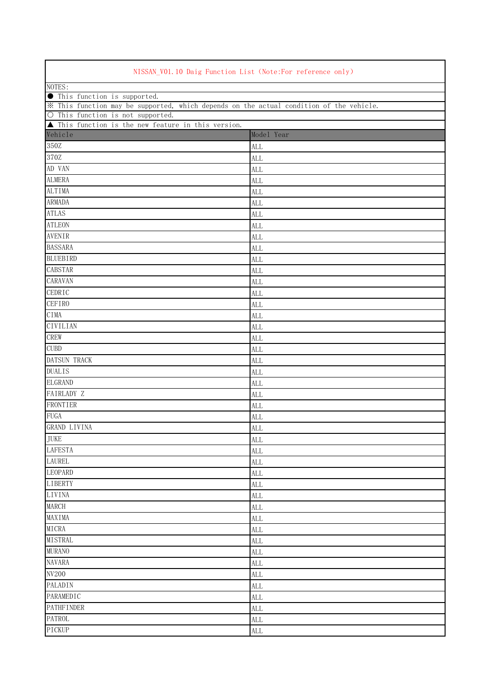| NISSAN_V01.10 Daig Function List (Note:For reference only)                              |            |  |  |  |  |
|-----------------------------------------------------------------------------------------|------------|--|--|--|--|
| NOTES:                                                                                  |            |  |  |  |  |
| <b>O</b> This function is supported.                                                    |            |  |  |  |  |
| * This function may be supported, which depends on the actual condition of the vehicle. |            |  |  |  |  |
| O This function is not supported.                                                       |            |  |  |  |  |
| ▲ This function is the new feature in this version.<br>Vehicle                          | Model Year |  |  |  |  |
|                                                                                         |            |  |  |  |  |
| 350Z                                                                                    | <b>ALL</b> |  |  |  |  |
| 370Z                                                                                    | <b>ALL</b> |  |  |  |  |
| AD VAN                                                                                  | <b>ALL</b> |  |  |  |  |
| <b>ALMERA</b>                                                                           | <b>ALL</b> |  |  |  |  |
| <b>ALTIMA</b>                                                                           | <b>ALL</b> |  |  |  |  |
| <b>ARMADA</b>                                                                           | ALL        |  |  |  |  |
| <b>ATLAS</b>                                                                            | <b>ALL</b> |  |  |  |  |
| <b>ATLEON</b>                                                                           | <b>ALL</b> |  |  |  |  |
| <b>AVENIR</b>                                                                           | <b>ALL</b> |  |  |  |  |
| <b>BASSARA</b>                                                                          | <b>ALL</b> |  |  |  |  |
| <b>BLUEBIRD</b>                                                                         | <b>ALL</b> |  |  |  |  |
| <b>CABSTAR</b>                                                                          | <b>ALL</b> |  |  |  |  |
| CARAVAN                                                                                 | <b>ALL</b> |  |  |  |  |
| <b>CEDRIC</b>                                                                           | ALL        |  |  |  |  |
| <b>CEFIRO</b>                                                                           | <b>ALL</b> |  |  |  |  |
| CIMA                                                                                    | <b>ALL</b> |  |  |  |  |
| <b>CIVILIAN</b>                                                                         | <b>ALL</b> |  |  |  |  |
| CREW                                                                                    | <b>ALL</b> |  |  |  |  |
| <b>CUBD</b>                                                                             | <b>ALL</b> |  |  |  |  |
| <b>DATSUN TRACK</b>                                                                     | <b>ALL</b> |  |  |  |  |
| <b>DUALIS</b>                                                                           | <b>ALL</b> |  |  |  |  |
| <b>ELGRAND</b>                                                                          | <b>ALL</b> |  |  |  |  |
| FAIRLADY Z                                                                              | <b>ALL</b> |  |  |  |  |
| FRONTIER                                                                                | <b>ALL</b> |  |  |  |  |
| <b>FUGA</b>                                                                             | <b>ALL</b> |  |  |  |  |
| <b>GRAND LIVINA</b>                                                                     | <b>ALL</b> |  |  |  |  |
| <b>JUKE</b>                                                                             | <b>ALL</b> |  |  |  |  |
| <b>LAFESTA</b>                                                                          | <b>ALL</b> |  |  |  |  |
| LAUREL                                                                                  | <b>ALL</b> |  |  |  |  |
| <b>LEOPARD</b>                                                                          | <b>ALL</b> |  |  |  |  |
| <b>LIBERTY</b>                                                                          | <b>ALL</b> |  |  |  |  |
| <b>LIVINA</b>                                                                           | <b>ALL</b> |  |  |  |  |
| MARCH                                                                                   | <b>ALL</b> |  |  |  |  |
| MAXIMA                                                                                  | <b>ALL</b> |  |  |  |  |
| MICRA                                                                                   | ALL        |  |  |  |  |
| <b>MISTRAL</b>                                                                          | <b>ALL</b> |  |  |  |  |
| <b>MURANO</b>                                                                           | ALL        |  |  |  |  |
| <b>NAVARA</b>                                                                           | <b>ALL</b> |  |  |  |  |
| <b>NV200</b>                                                                            | <b>ALL</b> |  |  |  |  |
| <b>PALADIN</b>                                                                          | <b>ALL</b> |  |  |  |  |
| <b>PARAMEDIC</b>                                                                        | <b>ALL</b> |  |  |  |  |
| <b>PATHFINDER</b>                                                                       | <b>ALL</b> |  |  |  |  |
| <b>PATROL</b>                                                                           | <b>ALL</b> |  |  |  |  |
| PICKUP                                                                                  | ALL        |  |  |  |  |

 $\Gamma$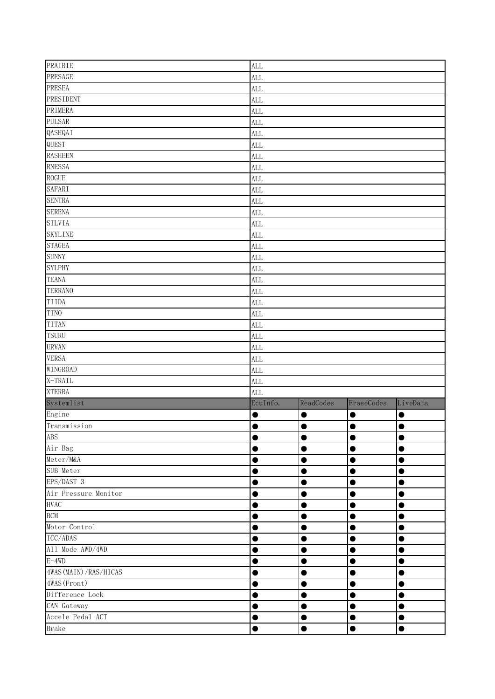| PRAIRIE                 | <b>ALL</b> |           |            |           |  |  |  |
|-------------------------|------------|-----------|------------|-----------|--|--|--|
| PRESAGE                 | <b>ALL</b> |           |            |           |  |  |  |
| PRESEA                  | <b>ALL</b> |           |            |           |  |  |  |
| <b>PRESIDENT</b>        | <b>ALL</b> |           |            |           |  |  |  |
| PRIMERA                 | <b>ALL</b> |           |            |           |  |  |  |
| <b>PULSAR</b>           | <b>ALL</b> |           |            |           |  |  |  |
| QASHQAI                 | ALL        |           |            |           |  |  |  |
| QUEST                   | ALL        |           |            |           |  |  |  |
| <b>RASHEEN</b>          | <b>ALL</b> |           |            |           |  |  |  |
| <b>RNESSA</b>           | <b>ALL</b> |           |            |           |  |  |  |
| <b>ROGUE</b>            | <b>ALL</b> |           |            |           |  |  |  |
| <b>SAFARI</b>           | <b>ALL</b> |           |            |           |  |  |  |
| <b>SENTRA</b>           | ALL        |           |            |           |  |  |  |
| <b>SERENA</b>           | ALL        |           |            |           |  |  |  |
| <b>SILVIA</b>           | <b>ALL</b> |           |            |           |  |  |  |
| <b>SKYLINE</b>          | ALL        |           |            |           |  |  |  |
| <b>STAGEA</b>           | <b>ALL</b> |           |            |           |  |  |  |
| <b>SUNNY</b>            | <b>ALL</b> |           |            |           |  |  |  |
| <b>SYLPHY</b>           | <b>ALL</b> |           |            |           |  |  |  |
| <b>TEANA</b>            | <b>ALL</b> |           |            |           |  |  |  |
| <b>TERRANO</b>          | <b>ALL</b> |           |            |           |  |  |  |
| TIIDA                   | <b>ALL</b> |           |            |           |  |  |  |
| <b>TINO</b>             | <b>ALL</b> |           |            |           |  |  |  |
| <b>TITAN</b>            | <b>ALL</b> |           |            |           |  |  |  |
| <b>TSURU</b>            | <b>ALL</b> |           |            |           |  |  |  |
| <b>URVAN</b>            | <b>ALL</b> |           |            |           |  |  |  |
| <b>VERSA</b>            | <b>ALL</b> |           |            |           |  |  |  |
| WINGROAD                | <b>ALL</b> |           |            |           |  |  |  |
| X-TRAIL                 | <b>ALL</b> |           |            |           |  |  |  |
| <b>XTERRA</b>           | <b>ALL</b> |           |            |           |  |  |  |
| Systemlist              | EcuInfo.   | ReadCodes | EraseCodes | LiveData  |  |  |  |
| Engine                  | U          | ●         | c          | $\bullet$ |  |  |  |
| Transmission            | $\bullet$  | $\bullet$ | $\bullet$  | $\bullet$ |  |  |  |
| <b>ABS</b>              |            |           |            |           |  |  |  |
| Air Bag                 | e          | 0         | 0          | 0         |  |  |  |
| Meter/M&A               |            | O         | $\bullet$  | ●         |  |  |  |
| SUB Meter               | O          | 0         | Œ          | ●         |  |  |  |
| EPS/DAST 3              |            | ●         | ●          | $\bullet$ |  |  |  |
| Air Pressure Monitor    | ۸          | 0         | 0          | $\bullet$ |  |  |  |
| <b>HVAC</b>             |            | ●         | $\bullet$  | ●         |  |  |  |
| <b>BCM</b>              | 0          | $\bullet$ | $\bullet$  | $\bullet$ |  |  |  |
| Motor Control           | 0          | ●         | $\bullet$  | $\bullet$ |  |  |  |
| ICC/ADAS                |            | 0         | ●          | ●         |  |  |  |
| All Mode AWD/4WD        | $\bullet$  | ●         | ●          | ●         |  |  |  |
| $E-4WD$                 |            | 0         | O          | 0         |  |  |  |
| 4WAS (MAIN) / RAS/HICAS |            | ●         | ●          | ●         |  |  |  |
| 4WAS (Front)            |            |           |            | ●         |  |  |  |
| Difference Lock         | D          | ●         | $\bullet$  | ●         |  |  |  |
| CAN Gateway             |            |           | O          | $\bullet$ |  |  |  |
| Accele Pedal ACT        | 0          | 0         | $\bullet$  | $\bullet$ |  |  |  |
| <b>Brake</b>            |            |           |            |           |  |  |  |